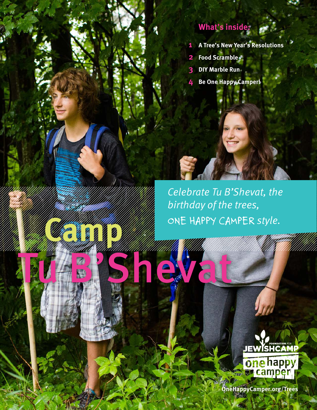### **What's inside:**

- **1 A Tree's New Year's Resolutions**
- **2 Food Scramble**
- **3 DIY Marble Run**
- **4 Be One Happy Camper!**

*Celebrate Tu B'Shevat, the birthday of the trees, ONE HAPPY CAMPER style.*

Tu Bahara Kalif Kalif Kalif Kalif Kalif Kalif Kalif Kalif Kalif Kalif Kalif Kalif Kalif Kalif Kalif Kalif Kali

**Camp** 



**OneHappyCamper.org/Trees**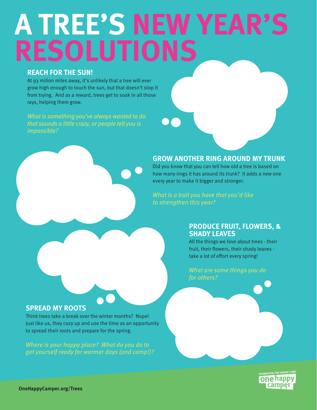# **A TREE'S NEW YEAR'S RESOLUTIONS**

### **REACH FOR THE SUN!**

At 93 milion miles away, it's unlikely that a tree will ever grow high enough to touch the sun, but that doesn't stop it from trying. And as a reward, trees get to soak in all those rays, helping them grow.

*that sounds a little crazy, or people tell you is impossible?*

#### **GROW ANOTHER RING AROUND MY TRUNK**

Did you know that you can tell how old a tree is based on how many rings it has around its trunk? It adds a new one every year to make it bigger and stronger.

*What is a trait you have that you'd like to strengthen this year?*

#### **PRODUCE FRUIT, FLOWERS, & SHADY LEAVES**

All the things we love about trees - their fruit, their flowers, their shady leaves take a lot of effort every spring!

*for others?*

### **SPREAD MY ROOTS**

Think trees take a break over the winter months? Nope! Just like us, they cozy up and use the time as an opportunity to spread their roots and prepare for the spring.

*Where is your happy place? What do you do to get yourself ready for warmer days (and camp!)?*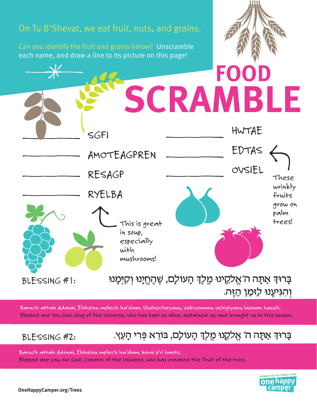

*Baruch attah Adonai, Eloheinu melech ha'olam, Shehecheyanu, vekiyemanu vehigiyanu lazman hazeh. Blessed are You God, King of the Universe, Who has kept us alive, sustained us, and brought us to this season.*

### *BLESSING #2:*

### בָּרוּדְּ אַתָּה ה´ אֱלִקֱנוּ מֶלֶדְ הָעוֹלָם, בּוֹרֵא פְּרִי הָעֵץ.

*Baruch attah Adonai, Eloheinu melech ha'olam, borai p'ri haetz. Blessed are you, our God, Creator of the Universe, who has created the fruit of the tree.*

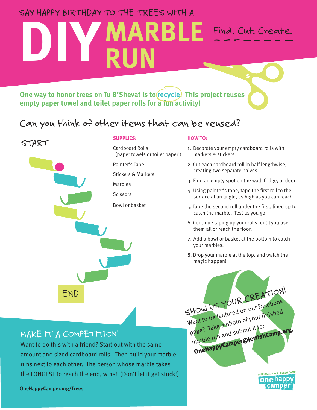### *SAY HAPPY BIRTHDAY TO THE TREES WITH A*

## **DIY MARBLE RUN** *Find. Cut. Create.*

**One way to honor trees on Tu B'Shevat is to recycle. This project reuses empty paper towel and toilet paper rolls for a fun activity!** 

### *Can you think of other items that can be reused?*



#### **SUPPLIES:**

Cardboard Rolls (paper towels or toilet paper!)

Painter's Tape

Stickers & Markers

Marbles

**Scissors** 

Bowl or basket

#### **HOW TO:**

- 1. Decorate your empty cardboard rolls with markers & stickers.
- 2. Cut each cardboard roll in half lengthwise, creating two separate halves.
- 3. Find an empty spot on the wall, fridge, or door.
- 4. Using painter's tape, tape the first roll to the surface at an angle, as high as you can reach.
- 5. Tape the second roll under the first, lined up to catch the marble. Test as you go!
- 6. Continue taping up your rolls, until you use them all or reach the floor.
- 7. Add a bowl or basket at the bottom to catch your marbles.
- 8. Drop your marble at the top, and watch the magic happen!



**one** happy campe



Want to do this with a friend? Start out with the same amount and sized cardboard rolls. Then build your marble runs next to each other. The person whose marble takes the LONGEST to reach the end, wins! (Don't let it get stuck!)

**OneHappyCamper.org/Trees**